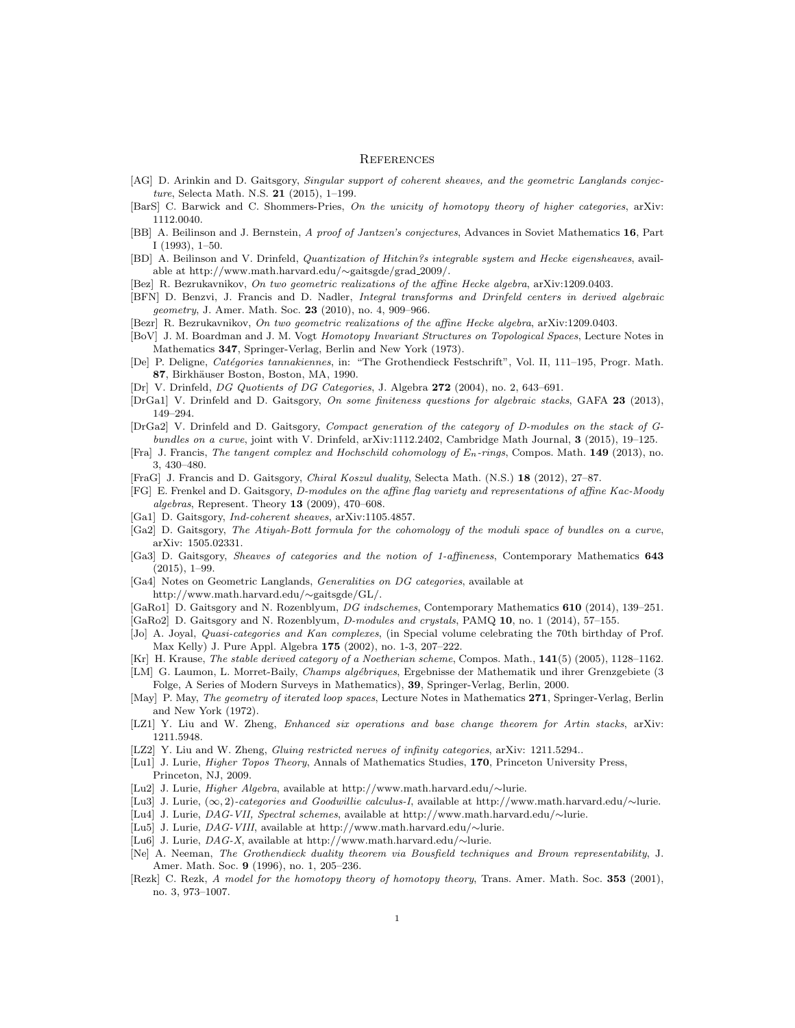## **REFERENCES**

- [AG] D. Arinkin and D. Gaitsgory, Singular support of coherent sheaves, and the geometric Langlands conjecture, Selecta Math. N.S. 21 (2015), 1–199.
- [BarS] C. Barwick and C. Shommers-Pries, On the unicity of homotopy theory of higher categories, arXiv: 1112.0040.
- [BB] A. Beilinson and J. Bernstein, A proof of Jantzen's conjectures, Advances in Soviet Mathematics 16, Part I (1993), 1–50.
- [BD] A. Beilinson and V. Drinfeld, Quantization of Hitchin?s integrable system and Hecke eigensheaves, available at http://www.math.harvard.edu/∼gaitsgde/grad 2009/.
- [Bez] R. Bezrukavnikov, On two geometric realizations of the affine Hecke algebra, arXiv:1209.0403.
- [BFN] D. Benzvi, J. Francis and D. Nadler, Integral transforms and Drinfeld centers in derived algebraic geometry, J. Amer. Math. Soc. 23 (2010), no. 4, 909–966.
- [Bezr] R. Bezrukavnikov, On two geometric realizations of the affine Hecke algebra, arXiv:1209.0403.
- [BoV] J. M. Boardman and J. M. Vogt Homotopy Invariant Structures on Topological Spaces, Lecture Notes in Mathematics 347, Springer-Verlag, Berlin and New York (1973).
- [De] P. Deligne, Cat´egories tannakiennes, in: "The Grothendieck Festschrift", Vol. II, 111–195, Progr. Math. 87, Birkhäuser Boston, Boston, MA, 1990.
- [Dr] V. Drinfeld, DG Quotients of DG Categories, J. Algebra 272 (2004), no. 2, 643–691.
- [DrGa1] V. Drinfeld and D. Gaitsgory, On some finiteness questions for algebraic stacks, GAFA 23 (2013), 149–294.
- [DrGa2] V. Drinfeld and D. Gaitsgory, Compact generation of the category of D-modules on the stack of Gbundles on a curve, joint with V. Drinfeld, arXiv:1112.2402, Cambridge Math Journal, 3 (2015), 19–125.
- [Fra] J. Francis, The tangent complex and Hochschild cohomology of  $E_n$ -rings, Compos. Math. 149 (2013), no. 3, 430–480.
- [FraG] J. Francis and D. Gaitsgory, Chiral Koszul duality, Selecta Math. (N.S.) 18 (2012), 27–87.
- [FG] E. Frenkel and D. Gaitsgory, D-modules on the affine flag variety and representations of affine Kac-Moody algebras, Represent. Theory 13 (2009), 470–608.
- [Ga1] D. Gaitsgory, *Ind-coherent sheaves*, arXiv:1105.4857.
- [Ga2] D. Gaitsgory, The Atiyah-Bott formula for the cohomology of the moduli space of bundles on a curve, arXiv: 1505.02331.
- [Ga3] D. Gaitsgory, Sheaves of categories and the notion of 1-affineness, Contemporary Mathematics 643 (2015), 1–99.
- [Ga4] Notes on Geometric Langlands, Generalities on DG categories, available at http://www.math.harvard.edu/∼gaitsgde/GL/.
- [GaRo1] D. Gaitsgory and N. Rozenblyum, DG indschemes, Contemporary Mathematics 610 (2014), 139–251.
- [GaRo2] D. Gaitsgory and N. Rozenblyum, *D-modules and crystals*, PAMQ 10, no. 1 (2014), 57–155.
- [Jo] A. Joyal, Quasi-categories and Kan complexes, (in Special volume celebrating the 70th birthday of Prof. Max Kelly) J. Pure Appl. Algebra 175 (2002), no. 1-3, 207–222.
- [Kr] H. Krause, The stable derived category of a Noetherian scheme, Compos. Math., 141(5) (2005), 1128–1162.
- [LM] G. Laumon, L. Morret-Baily, Champs algébriques, Ergebnisse der Mathematik und ihrer Grenzgebiete (3 Folge, A Series of Modern Surveys in Mathematics), 39, Springer-Verlag, Berlin, 2000.
- [May] P. May, The geometry of iterated loop spaces, Lecture Notes in Mathematics 271, Springer-Verlag, Berlin and New York (1972).
- [LZ1] Y. Liu and W. Zheng, Enhanced six operations and base change theorem for Artin stacks, arXiv: 1211.5948.
- [LZ2] Y. Liu and W. Zheng, *Gluing restricted nerves of infinity categories*, arXiv: 1211.5294..
- [Lu1] J. Lurie, *Higher Topos Theory*, Annals of Mathematics Studies, 170, Princeton University Press, Princeton, NJ, 2009.
- [Lu2] J. Lurie, Higher Algebra, available at http://www.math.harvard.edu/∼lurie.
- [Lu3] J. Lurie, (∞, 2)-categories and Goodwillie calculus-I, available at http://www.math.harvard.edu/∼lurie.
- [Lu4] J. Lurie, DAG-VII, Spectral schemes, available at http://www.math.harvard.edu/∼lurie.
- [Lu5] J. Lurie, DAG-VIII, available at http://www.math.harvard.edu/∼lurie.
- [Lu6] J. Lurie, DAG-X, available at http://www.math.harvard.edu/∼lurie.
- [Ne] A. Neeman, The Grothendieck duality theorem via Bousfield techniques and Brown representability, J. Amer. Math. Soc. 9 (1996), no. 1, 205–236.
- [Rezk] C. Rezk, A model for the homotopy theory of homotopy theory, Trans. Amer. Math. Soc. 353 (2001), no. 3, 973–1007.